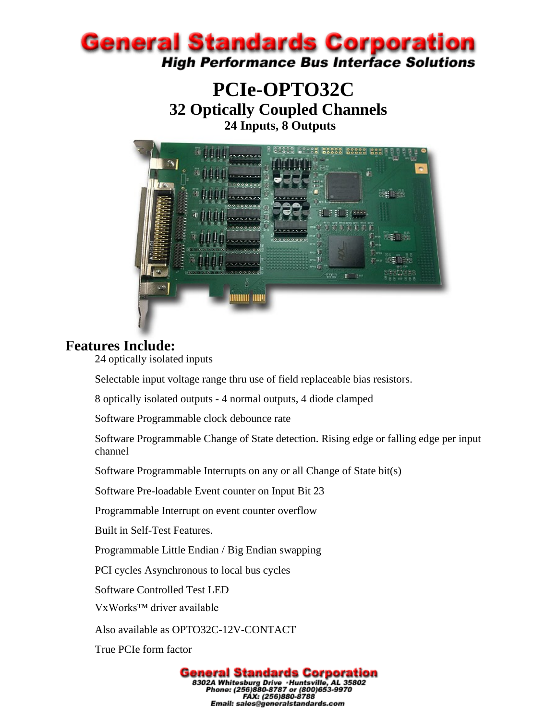

## **PCIe-OPTO32C 32 Optically Coupled Channels 24 Inputs, 8 Outputs**



#### **Features Include:**

24 optically isolated inputs

Selectable input voltage range thru use of field replaceable bias resistors.

8 optically isolated outputs - 4 normal outputs, 4 diode clamped

Software Programmable clock debounce rate

Software Programmable Change of State detection. Rising edge or falling edge per input channel

Software Programmable Interrupts on any or all Change of State bit(s)

Software Pre-loadable Event counter on Input Bit 23

Programmable Interrupt on event counter overflow

Built in Self-Test Features.

Programmable Little Endian / Big Endian swapping

PCI cycles Asynchronous to local bus cycles

Software Controlled Test LED

VxWorks™ driver available

Also available as OPTO32C-12V-CONTACT

True PCIe form factor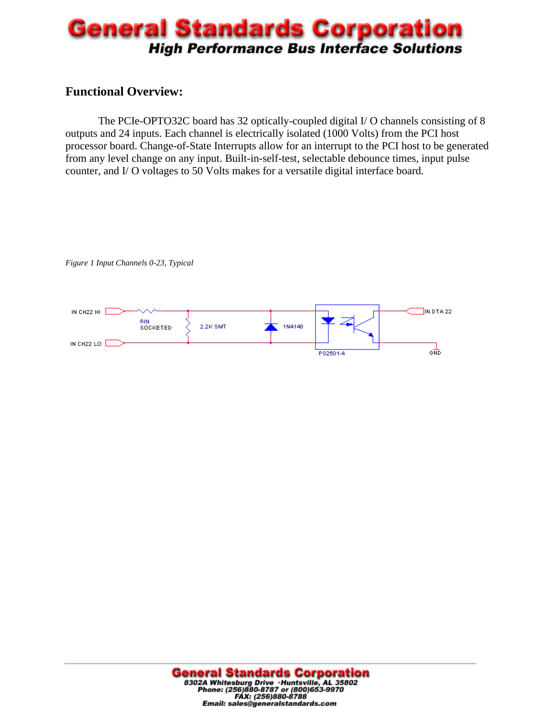## **General Standards Corporation High Performance Bus Interface Solutions**

#### **Functional Overview:**

The PCIe-OPTO32C board has 32 optically-coupled digital I/ O channels consisting of 8 outputs and 24 inputs. Each channel is electrically isolated (1000 Volts) from the PCI host processor board. Change-of-State Interrupts allow for an interrupt to the PCI host to be generated from any level change on any input. Built-in-self-test, selectable debounce times, input pulse counter, and I/ O voltages to 50 Volts makes for a versatile digital interface board.

*Figure 1 Input Channels 0-23, Typical* 

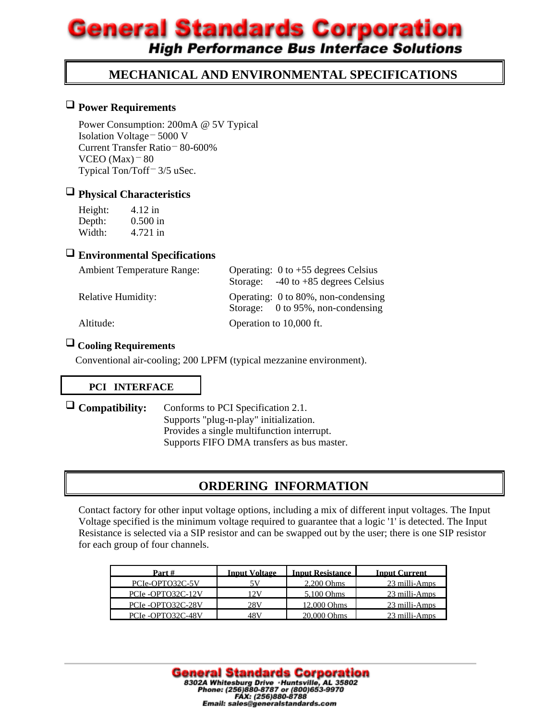# **General Standards Corporation**

**High Performance Bus Interface Solutions** 

#### **MECHANICAL AND ENVIRONMENTAL SPECIFICATIONS**

#### **Power Requirements**

Power Consumption: 200mA @ 5V Typical Isolation Voltage – 5000 V Current Transfer Ratio – 80-600% VCEO (Max) $-80$ Typical Ton/Toff<sup>-</sup> 3/5 uSec.

## **Physical Characteristics**

| Height: | 4.12 in    |
|---------|------------|
| Depth:  | $0.500$ in |
| Width:  | 4.721 in   |

#### **Environmental Specifications**

| <b>Ambient Temperature Range:</b> | Operating: $0$ to +55 degrees Celsius                                    |  |  |
|-----------------------------------|--------------------------------------------------------------------------|--|--|
|                                   | Storage: $-40$ to $+85$ degrees Celsius                                  |  |  |
| <b>Relative Humidity:</b>         | Operating: 0 to 80%, non-condensing<br>Storage: 0 to 95%, non-condensing |  |  |
| Altitude:                         | Operation to 10,000 ft.                                                  |  |  |

#### **Cooling Requirements**

Conventional air-cooling; 200 LPFM (typical mezzanine environment).

#### **PCI INTERFACE**

 **Compatibility:** Conforms to PCI Specification 2.1. Supports "plug-n-play" initialization. Provides a single multifunction interrupt. Supports FIFO DMA transfers as bus master.

#### **ORDERING INFORMATION**

Contact factory for other input voltage options, including a mix of different input voltages. The Input Voltage specified is the minimum voltage required to guarantee that a logic '1' is detected. The Input Resistance is selected via a SIP resistor and can be swapped out by the user; there is one SIP resistor for each group of four channels.

| Part#              | <b>Input Voltage</b> | <b>Input Resistance</b> | <b>Input Current</b> |
|--------------------|----------------------|-------------------------|----------------------|
| PCIe-OPTO32C-5V    |                      | $2.200$ Ohms            | 23 milli-Amps        |
| PCIe-OPTO32C-12V   | 12 V                 | 5.100 Ohms              | 23 milli-Amps        |
| PCIe-OPTO32C-28V   | 28V                  | 12,000 Ohms             | 23 milli-Amps        |
| PCIe - OPTO32C-48V | 48 V                 | 20.000 Ohms             | 23 milli-Amps        |